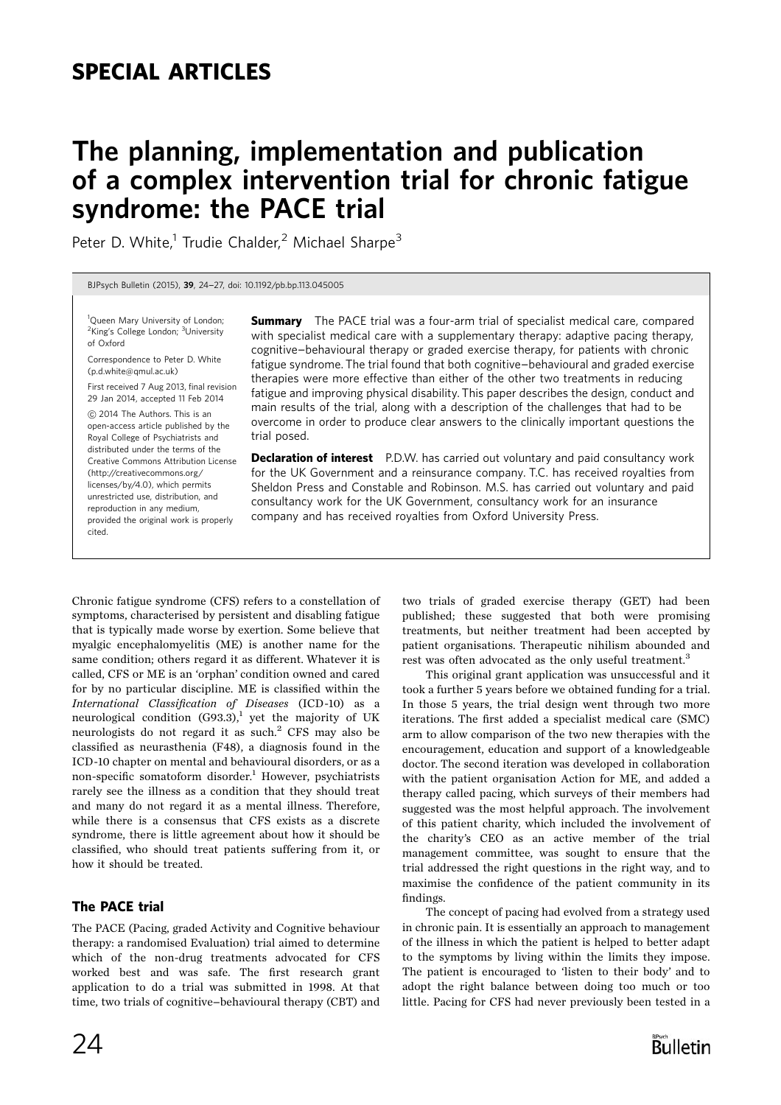# SPECIAL ARTICLES

# The planning, implementation and publication of a complex intervention trial for chronic fatigue syndrome: the PACE trial

Peter D. White, $1$  Trudie Chalder, $2$  Michael Sharpe<sup>3</sup>

BJPsych Bulletin (2015), <sup>39</sup>, 24-27, doi: 10.1192/pb.bp.113.045005

<sup>1</sup>Queen Mary University of London; <sup>2</sup>King's College London; <sup>3</sup>University of Oxford

Correspondence to Peter D. White (p.d.white@qmul.ac.uk)

First received 7 Aug 2013, final revision 29 Jan 2014, accepted 11 Feb 2014

*B* 2014 The Authors. This is an open-access article published by the Royal College of Psychiatrists and distributed under the terms of the Creative Commons Attribution License (http://creativecommons.org/ licenses/by/4.0), which permits unrestricted use, distribution, and reproduction in any medium, provided the original work is properly cited.

**Summary** The PACE trial was a four-arm trial of specialist medical care, compared with specialist medical care with a supplementary therapy: adaptive pacing therapy, cognitive-behavioural therapy or graded exercise therapy, for patients with chronic fatigue syndrome. The trial found that both cognitive-behavioural and graded exercise therapies were more effective than either of the other two treatments in reducing fatigue and improving physical disability. This paper describes the design, conduct and main results of the trial, along with a description of the challenges that had to be overcome in order to produce clear answers to the clinically important questions the trial posed.

**Declaration of interest** P.D.W. has carried out voluntary and paid consultancy work for the UK Government and a reinsurance company. T.C. has received royalties from Sheldon Press and Constable and Robinson. M.S. has carried out voluntary and paid consultancy work for the UK Government, consultancy work for an insurance company and has received royalties from Oxford University Press.

Chronic fatigue syndrome (CFS) refers to a constellation of symptoms, characterised by persistent and disabling fatigue that is typically made worse by exertion. Some believe that myalgic encephalomyelitis (ME) is another name for the same condition; others regard it as different. Whatever it is called, CFS or ME is an 'orphan' condition owned and cared for by no particular discipline. ME is classified within the International Classification of Diseases (ICD-10) as a neurological condition  $(G93.3)$ ,<sup>1</sup> yet the majority of UK neurologists do not regard it as such. $2$  CFS may also be classified as neurasthenia (F48), a diagnosis found in the ICD-10 chapter on mental and behavioural disorders, or as a non-specific somatoform disorder.<sup>1</sup> However, psychiatrists rarely see the illness as a condition that they should treat and many do not regard it as a mental illness. Therefore, while there is a consensus that CFS exists as a discrete syndrome, there is little agreement about how it should be classified, who should treat patients suffering from it, or how it should be treated.

## The PACE trial

The PACE (Pacing, graded Activity and Cognitive behaviour therapy: a randomised Evaluation) trial aimed to determine which of the non-drug treatments advocated for CFS worked best and was safe. The first research grant application to do a trial was submitted in 1998. At that time, two trials of cognitive-behavioural therapy (CBT) and two trials of graded exercise therapy (GET) had been published; these suggested that both were promising treatments, but neither treatment had been accepted by patient organisations. Therapeutic nihilism abounded and rest was often advocated as the only useful treatment.<sup>3</sup>

This original grant application was unsuccessful and it took a further 5 years before we obtained funding for a trial. In those 5 years, the trial design went through two more iterations. The first added a specialist medical care (SMC) arm to allow comparison of the two new therapies with the encouragement, education and support of a knowledgeable doctor. The second iteration was developed in collaboration with the patient organisation Action for ME, and added a therapy called pacing, which surveys of their members had suggested was the most helpful approach. The involvement of this patient charity, which included the involvement of the charity's CEO as an active member of the trial management committee, was sought to ensure that the trial addressed the right questions in the right way, and to maximise the confidence of the patient community in its findings.

The concept of pacing had evolved from a strategy used in chronic pain. It is essentially an approach to management of the illness in which the patient is helped to better adapt to the symptoms by living within the limits they impose. The patient is encouraged to 'listen to their body' and to adopt the right balance between doing too much or too little. Pacing for CFS had never previously been tested in a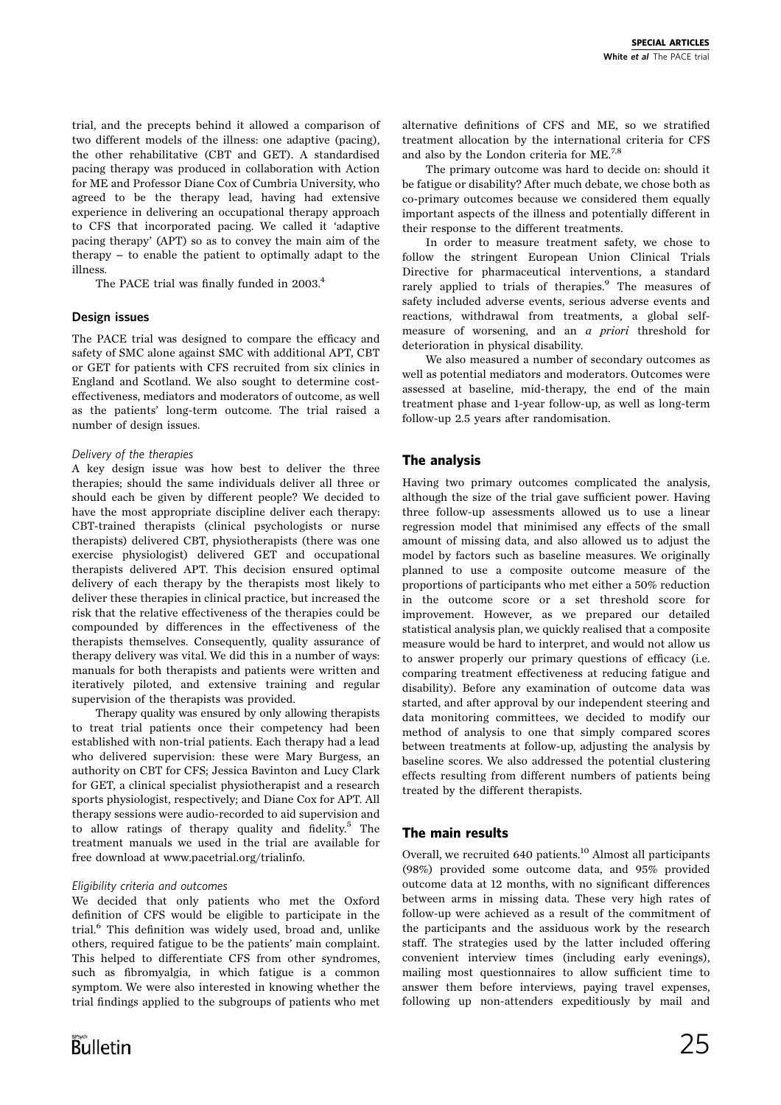trial, and the precepts behind it allowed a comparison of two different models of the illness: one adaptive (pacing), the other rehabilitative (CBT and GET). A standardised pacing therapy was produced in collaboration with Action for ME and Professor Diane Cox of Cumbria University, who agreed to be the therapy lead, having had extensive experience in delivering an occupational therapy approach to CFS that incorporated pacing. We called it 'adaptive pacing therapy' (APT) so as to convey the main aim of the therapy  $-$  to enable the patient to optimally adapt to the illness.

The PACE trial was finally funded in 2003.<sup>4</sup>

#### Design issues

The PACE trial was designed to compare the efficacy and safety of SMC alone against SMC with additional APT, CBT or GET for patients with CFS recruited from six clinics in England and Scotland. We also sought to determine costeffectiveness, mediators and moderators of outcome, as well as the patients' long-term outcome. The trial raised a number of design issues.

#### Delivery of the therapies

A key design issue was how best to deliver the three therapies; should the same individuals deliver all three or should each be given by different people? We decided to have the most appropriate discipline deliver each therapy: CBT-trained therapists (clinical psychologists or nurse therapists) delivered CBT, physiotherapists (there was one exercise physiologist) delivered GET and occupational therapists delivered APT. This decision ensured optimal delivery of each therapy by the therapists most likely to deliver these therapies in clinical practice, but increased the risk that the relative effectiveness of the therapies could be compounded by differences in the effectiveness of the therapists themselves. Consequently, quality assurance of therapy delivery was vital. We did this in a number of ways: manuals for both therapists and patients were written and iteratively piloted, and extensive training and regular supervision of the therapists was provided.

Therapy quality was ensured by only allowing therapists to treat trial patients once their competency had been established with non-trial patients. Each therapy had a lead who delivered supervision: these were Mary Burgess, an authority on CBT for CFS; Jessica Bavinton and Lucy Clark for GET, a clinical specialist physiotherapist and a research sports physiologist, respectively; and Diane Cox for APT. All therapy sessions were audio-recorded to aid supervision and to allow ratings of therapy quality and fidelity.<sup>5</sup> The treatment manuals we used in the trial are available for free download at www.pacetrial.org/trialinfo.

#### Eligibility criteria and outcomes

We decided that only patients who met the Oxford definition of CFS would be eligible to participate in the trial.<sup>6</sup> This definition was widely used, broad and, unlike others, required fatigue to be the patients' main complaint. This helped to differentiate CFS from other syndromes, such as fibromyalgia, in which fatigue is a common symptom. We were also interested in knowing whether the trial findings applied to the subgroups of patients who met alternative definitions of CFS and ME, so we stratified treatment allocation by the international criteria for CFS and also by the London criteria for ME.<sup>7,8</sup>

The primary outcome was hard to decide on: should it be fatigue or disability? After much debate, we chose both as co-primary outcomes because we considered them equally important aspects of the illness and potentially different in their response to the different treatments.

In order to measure treatment safety, we chose to follow the stringent European Union Clinical Trials Directive for pharmaceutical interventions, a standard rarely applied to trials of therapies.<sup>9</sup> The measures of safety included adverse events, serious adverse events and reactions, withdrawal from treatments, a global selfmeasure of worsening, and an a priori threshold for deterioration in physical disability.

We also measured a number of secondary outcomes as well as potential mediators and moderators. Outcomes were assessed at baseline, mid-therapy, the end of the main treatment phase and 1-year follow-up, as well as long-term follow-up 2.5 years after randomisation.

#### The analysis

Having two primary outcomes complicated the analysis, although the size of the trial gave sufficient power. Having three follow-up assessments allowed us to use a linear regression model that minimised any effects of the small amount of missing data, and also allowed us to adjust the model by factors such as baseline measures. We originally planned to use a composite outcome measure of the proportions of participants who met either a 50% reduction in the outcome score or a set threshold score for improvement. However, as we prepared our detailed statistical analysis plan, we quickly realised that a composite measure would be hard to interpret, and would not allow us to answer properly our primary questions of efficacy (i.e. comparing treatment effectiveness at reducing fatigue and disability). Before any examination of outcome data was started, and after approval by our independent steering and data monitoring committees, we decided to modify our method of analysis to one that simply compared scores between treatments at follow-up, adjusting the analysis by baseline scores. We also addressed the potential clustering effects resulting from different numbers of patients being treated by the different therapists.

#### The main results

Overall, we recruited 640 patients.<sup>10</sup> Almost all participants (98%) provided some outcome data, and 95% provided outcome data at 12 months, with no significant differences between arms in missing data. These very high rates of follow-up were achieved as a result of the commitment of the participants and the assiduous work by the research staff. The strategies used by the latter included offering convenient interview times (including early evenings), mailing most questionnaires to allow sufficient time to answer them before interviews, paying travel expenses, following up non-attenders expeditiously by mail and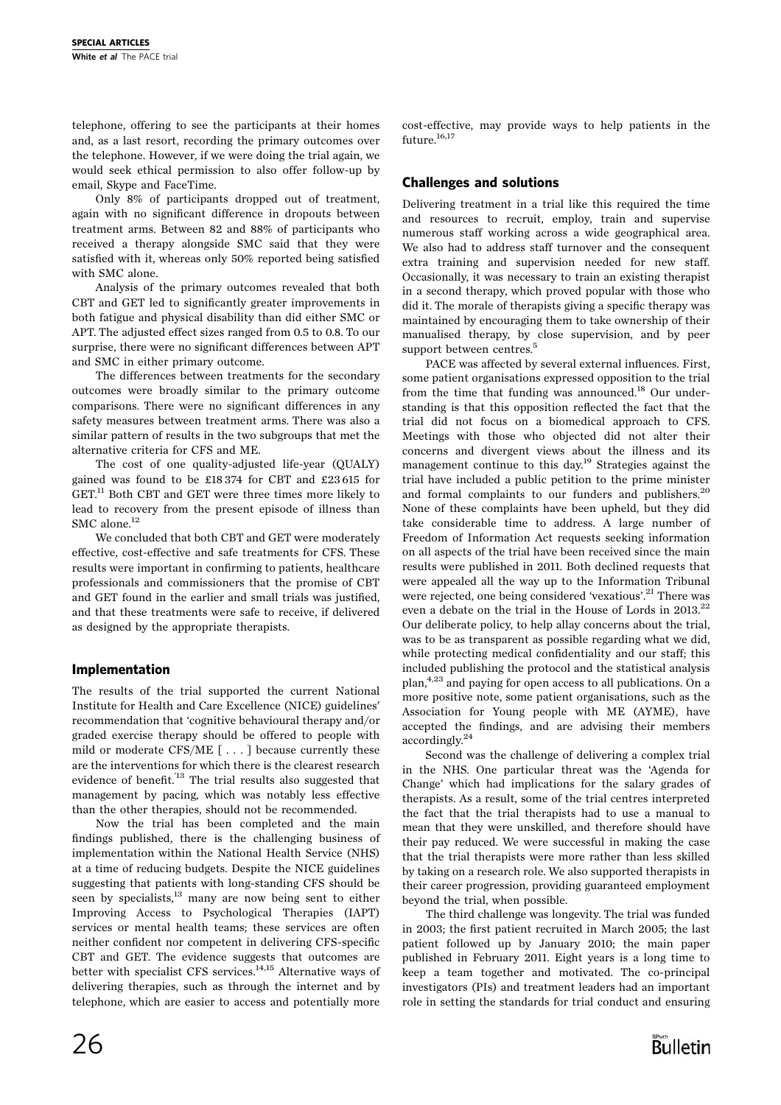telephone, offering to see the participants at their homes and, as a last resort, recording the primary outcomes over the telephone. However, if we were doing the trial again, we would seek ethical permission to also offer follow-up by email, Skype and FaceTime.

Only 8% of participants dropped out of treatment, again with no significant difference in dropouts between treatment arms. Between 82 and 88% of participants who received a therapy alongside SMC said that they were satisfied with it, whereas only 50% reported being satisfied with SMC alone.

Analysis of the primary outcomes revealed that both CBT and GET led to significantly greater improvements in both fatigue and physical disability than did either SMC or APT. The adjusted effect sizes ranged from 0.5 to 0.8. To our surprise, there were no significant differences between APT and SMC in either primary outcome.

The differences between treatments for the secondary outcomes were broadly similar to the primary outcome comparisons. There were no significant differences in any safety measures between treatment arms. There was also a similar pattern of results in the two subgroups that met the alternative criteria for CFS and ME.

The cost of one quality-adjusted life-year (QUALY) gained was found to be £18 374 for CBT and £23 615 for GET.<sup>11</sup> Both CBT and GET were three times more likely to lead to recovery from the present episode of illness than SMC alone.<sup>12</sup>

We concluded that both CBT and GET were moderately effective, cost-effective and safe treatments for CFS. These results were important in confirming to patients, healthcare professionals and commissioners that the promise of CBT and GET found in the earlier and small trials was justified, and that these treatments were safe to receive, if delivered as designed by the appropriate therapists.

## Implementation

The results of the trial supported the current National Institute for Health and Care Excellence (NICE) guidelines' recommendation that 'cognitive behavioural therapy and/or graded exercise therapy should be offered to people with mild or moderate CFS/ME [ . . . ] because currently these are the interventions for which there is the clearest research evidence of benefit.'13 The trial results also suggested that management by pacing, which was notably less effective than the other therapies, should not be recommended.

Now the trial has been completed and the main findings published, there is the challenging business of implementation within the National Health Service (NHS) at a time of reducing budgets. Despite the NICE guidelines suggesting that patients with long-standing CFS should be seen by specialists,13 many are now being sent to either Improving Access to Psychological Therapies (IAPT) services or mental health teams; these services are often neither confident nor competent in delivering CFS-specific CBT and GET. The evidence suggests that outcomes are better with specialist CFS services.<sup>14,15</sup> Alternative ways of delivering therapies, such as through the internet and by telephone, which are easier to access and potentially more cost-effective, may provide ways to help patients in the future.<sup>16,17</sup>

# Challenges and solutions

Delivering treatment in a trial like this required the time and resources to recruit, employ, train and supervise numerous staff working across a wide geographical area. We also had to address staff turnover and the consequent extra training and supervision needed for new staff. Occasionally, it was necessary to train an existing therapist in a second therapy, which proved popular with those who did it. The morale of therapists giving a specific therapy was maintained by encouraging them to take ownership of their manualised therapy, by close supervision, and by peer support between centres.<sup>5</sup>

PACE was affected by several external influences. First, some patient organisations expressed opposition to the trial from the time that funding was announced.<sup>18</sup> Our understanding is that this opposition reflected the fact that the trial did not focus on a biomedical approach to CFS. Meetings with those who objected did not alter their concerns and divergent views about the illness and its management continue to this day.19 Strategies against the trial have included a public petition to the prime minister and formal complaints to our funders and publishers.<sup>20</sup> None of these complaints have been upheld, but they did take considerable time to address. A large number of Freedom of Information Act requests seeking information on all aspects of the trial have been received since the main results were published in 2011. Both declined requests that were appealed all the way up to the Information Tribunal were rejected, one being considered 'vexatious'.<sup>21</sup> There was even a debate on the trial in the House of Lords in 2013.<sup>22</sup> Our deliberate policy, to help allay concerns about the trial, was to be as transparent as possible regarding what we did, while protecting medical confidentiality and our staff; this included publishing the protocol and the statistical analysis plan,4,23 and paying for open access to all publications. On a more positive note, some patient organisations, such as the Association for Young people with ME (AYME), have accepted the findings, and are advising their members accordingly.24

Second was the challenge of delivering a complex trial in the NHS. One particular threat was the 'Agenda for Change' which had implications for the salary grades of therapists. As a result, some of the trial centres interpreted the fact that the trial therapists had to use a manual to mean that they were unskilled, and therefore should have their pay reduced. We were successful in making the case that the trial therapists were more rather than less skilled by taking on a research role. We also supported therapists in their career progression, providing guaranteed employment beyond the trial, when possible.

The third challenge was longevity. The trial was funded in 2003; the first patient recruited in March 2005; the last patient followed up by January 2010; the main paper published in February 2011. Eight years is a long time to keep a team together and motivated. The co-principal investigators (PIs) and treatment leaders had an important role in setting the standards for trial conduct and ensuring